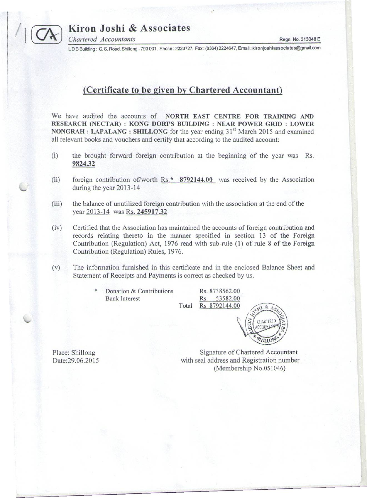

*Chartered Accountants* Regn. No. 313048 E

LDB Building: G. S. Road, Shillong - 793 001, Phone: 2223727, Fax: (6364) 2224647, Email: kironjoshiassociates@gmail.com

# **(Certificate to be given by Chartered Accountant)**

We have audited the accounts of **NORTH EAST CENTRE FOR TRAINING AND RESEARCH (NECTAR) : KONG DORI'S BUILDING : NEAR POWER GRID : LOWER NONGRAH : LAP ALANG : SHILLONG** for the year ending 31st March 2015 and examined all relevant books and vouchers and certify that according to the audited account:

- (i) the brought forward foreign contribution at the beginning of the year was Rs. **9824.32**
- (ii) foreign contribution of/worth Rs.\* **8792144.00** was received by the Association during the year 2013-14
- (iii) the balance of unutilized foreign contribution with the association at the end of the year 2013-14 was Rs. **245917.32**
- (iv) Certified that the Association has maintained the accounts of foreign contribution and records relating thereto in the manner specified in section 13 of the Foreign Contribution (Regulation) Act, 1976 read with sub-rule (1) of rule 8 of the Foreign Contribution (Regulation) Rules, 1976.
- (v) The information furnished in this certificate and in the enclosed Balance Sheet and Statement of Receipts and Payments is correct as checked by us.

Donation & Contributions Rs. 8738562.00 Bank Interest Rs. 53582.00

Total Rs 8792144.00



Place: Shillong Date:29.06.2015

Signature of Chartered Accountant with seal address and Registration number (Membership No.051046)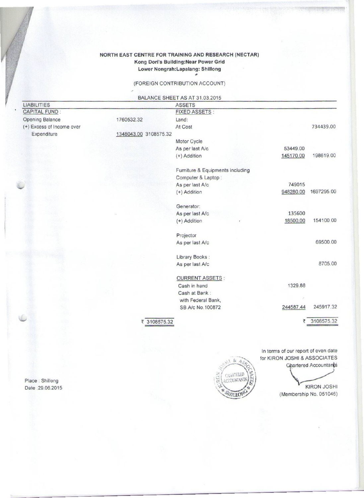#### **NORTH EAST CENTRE FOR TRAINING AND RESEARCH (NECTAR) Kong Dori's Building:Near Power Grid Lower Nongrah:Lapalang: Shillong** #

(FOREIGN CONTRIBUTION ACCOUNT)

BALANCE SHEET AS AT 31.03.2015

| <b>LIABILITIES</b>        |                       | <b>ASSETS</b>                    |           |            |
|---------------------------|-----------------------|----------------------------------|-----------|------------|
| <b>CAPITAL FUND:</b>      |                       | <b>FIXED ASSETS:</b>             |           |            |
| Opening Balance           | 1760532.32            | Land:                            |           |            |
| (+) Excess of Income over |                       | At Cost                          |           | 734439.00  |
| Expenditure               | 1348043.00 3108575.32 |                                  |           |            |
|                           |                       | Motor Cycle                      |           |            |
|                           |                       | As per last A/c                  | 53449.00  |            |
|                           |                       | (+) Addition                     | 145170.00 | 198619.00  |
|                           |                       |                                  |           |            |
|                           |                       | Furniture & Equipments including |           |            |
|                           |                       | Computer & Laptop:               |           |            |
|                           |                       | As per last A/c                  | 749015    |            |
|                           |                       | (+) Addition                     | 948280.00 | 1697295.00 |
|                           |                       | Generator:                       |           |            |
|                           |                       | As per last A/c                  | 135600    |            |
|                           |                       | (+) Addition                     | 18500.00  | 154100.00  |
|                           |                       | Projector                        |           |            |
|                           |                       | As per last A/c                  |           | 69500.00   |
|                           |                       |                                  |           |            |
|                           |                       | Library Books:                   |           |            |
|                           |                       | As per last A/c                  |           | 8705.00    |
|                           |                       | <b>CURRENT ASSETS:</b>           |           |            |
|                           |                       | Cash in hand                     | 1329.88   |            |
|                           |                       | Cash at Bank:                    |           |            |
|                           |                       | with Federal Bank,               |           |            |
| 53                        |                       | SB A/c No.100872                 | 244587.44 | 245917.32  |
|                           | ₹                     | 3108575.32                       | ₹         | 3108575.32 |
|                           |                       |                                  |           |            |
|                           |                       |                                  |           |            |

In terms of our report of even date for KIRON JOSHI & ASSOCIATES **Chartered Accountants** 

 $\frac{1}{2}$ 

CHARTERED CCOUNTANTS

SHILLON

Ë

**KIRON JOSHI** (Membership No. 051046)

Place: Shillong Date :29.06.2015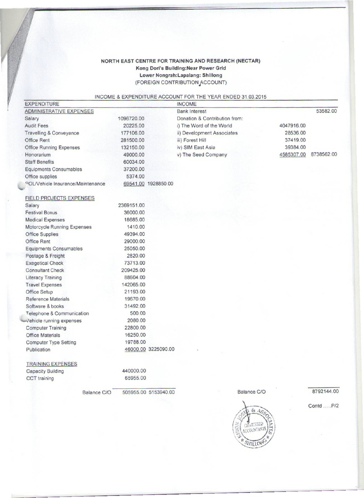## NORTH EAST CENTRE FOR TRAINING AND RESEARCH (NECTAR) Kong Dori's BUilding:Near Power Grid Lower Nongrah:Lapalang: Shillong (FOREIGN CONTRIBUTION ACCOUNT)

### INCOME s EXPENDITURE ACCOUNT FOR THE YEAR ENDED 31.03.2015

| <b>EXPENDITURE</b>                            |                      | <b>INCOME</b>                 |             |            |            |
|-----------------------------------------------|----------------------|-------------------------------|-------------|------------|------------|
| <b>ADMINISTRATIVE EXPENSES</b>                |                      | <b>Bank Interest</b>          |             |            | 53582.00   |
| Salary                                        | 1096720.00           | Donation & Contribution from: |             |            |            |
| <b>Audit Fees</b>                             | 20225.00             | i) The Word of the World      |             | 4047916.00 |            |
| <b>Travelling &amp; Conveyance</b>            | 177106.00            | ii) Development Associates    |             | 28536.00   |            |
| Office Rent                                   | 281500.00            | iii) Forest Hill              |             | 37419.00   |            |
| Office Running Expenses                       | 132150.00            | iv) SIM East Asia             |             | 39384.00   |            |
| Honorarium                                    | 49000.00             | v) The Seed Company           |             | 4585307.00 | 8738562.00 |
| <b>Staff Benefits</b>                         | 60034.00             |                               |             |            |            |
| <b>Equipments Consumables</b>                 | 37200.00             |                               |             |            |            |
| Office supplies                               | 5374.00              |                               |             |            |            |
| <sup>o</sup> OL/Vehicle Insurance/Maintenance | 69541.00 1928850.00  |                               |             |            |            |
| FIELD PROJECTS EXPENSES                       |                      |                               |             |            |            |
| Salary                                        | 2369151.00           |                               |             |            |            |
| <b>Festival Bonus</b>                         | 36000.00             |                               |             |            |            |
| <b>Medical Expenses</b>                       | 18685.00             |                               |             |            |            |
| Motorcycle Running Expenses                   | 1410.00              |                               |             |            |            |
| Office Supplies                               | 49394.00             |                               |             |            |            |
| <b>Office Rent</b>                            | 29000.00             |                               |             |            |            |
| <b>Equipments Consumables</b>                 | 25050.00             |                               |             |            |            |
| Postage & Freight                             | 2820.00              |                               |             |            |            |
| <b>Exegetical Check</b>                       | 73713.00             |                               |             |            |            |
| <b>Consultant Check</b>                       | 209425.00            |                               |             |            |            |
| Literacy Training                             | 88604.00             |                               |             |            |            |
| <b>Travel Expenses</b>                        | 142065.00            |                               |             |            |            |
| Office Setup                                  | 21193.00             |                               |             |            |            |
| Reference Materials                           | 19670.00             |                               |             |            |            |
| Software & books                              | 31492.00             |                               |             |            |            |
| Telephone & Communication                     | 500.00               |                               |             |            |            |
| Vehicle running expenses                      | 2080.00              |                               |             |            |            |
| <b>Computer Training</b>                      | 22800.00             |                               |             |            |            |
| <b>Office Materials</b>                       | 16250.00             |                               |             |            |            |
| <b>Computer Type Setting</b>                  | 19788.00             |                               |             |            |            |
| Publication                                   | 46000.00 3225090.00  |                               |             |            |            |
| <b>TRAINING EXPENSES</b>                      |                      |                               |             |            |            |
| <b>Capacity Building</b>                      | 440000.00            |                               |             |            |            |
| CCT training                                  | 65955.00             |                               |             |            |            |
| Balance C/O                                   | 505955.00 5153940.00 |                               | Balance C/O |            | 8792144.00 |
|                                               |                      |                               |             |            | Contd P/2  |
|                                               |                      |                               | &4s         |            |            |

CHARTERED ACCOUNTANT

SFILLON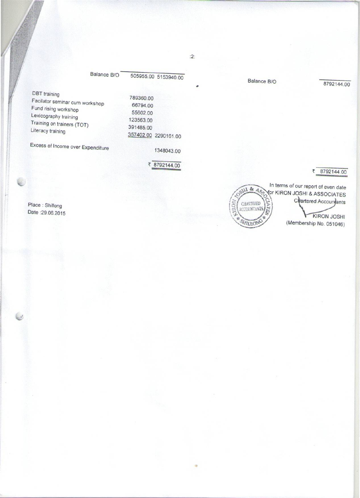|                                                                               | Balance B/O |                                   | 505955.00 5153940.00 |
|-------------------------------------------------------------------------------|-------------|-----------------------------------|----------------------|
| <b>DBT</b> training<br>Facilator seminar cum workshop<br>Fund rising workshop |             | 789360.00<br>66794.00<br>55602.00 |                      |
| Lexicography training<br>Training on trainers (TOT)<br>Literacy training      |             | 123563.00<br>391485.00            | 357402.00 2290161.00 |
| Excess of Income over Expenditure                                             |             |                                   | 1348043.00           |

Place : Shillong

Date :29.06.2015

**SILL & ASS MGSON** CHASTERED

In terms of our report of even date **FOR KIRON JOSHI & ASSOCIATES** Chartered Accountants CLATER **KIRON JOSHI** SHILLONE (Membership No. 051046)

Balance B/O 8792144.00

~ 8792144.00

•

₹ 8792144.00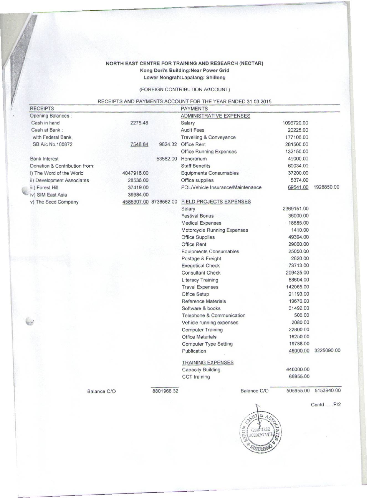## NORTH EAST CENTRE FOR TRAINING AND RESEARCH (NECTAR) Kong Dori's Buildlng:Near Power Grid Lower Nongrah:Lapalang: Shillong

## (FOREIGN CONTRIBUTION AGCOUNT)

## RECEIPTS AND PAYMENTS ACCOUNT FOR THE YEAR ENDED 31.03.2015

| <b>RECEIPTS</b>               |             |                       | <b>PAYMENTS</b>                   |            |            |
|-------------------------------|-------------|-----------------------|-----------------------------------|------------|------------|
| <b>Opening Balances:</b>      |             |                       | <b>ADMINISTRATIVE EXPENSES</b>    |            |            |
| Cash in hand                  | 2275.48     |                       | Salary                            | 1096720.00 |            |
| Cash at Bank:                 |             |                       | <b>Audit Fees</b>                 | 20225.00   |            |
| with Federal Bank.            |             |                       | Travelling & Conveyance           | 177106.00  |            |
| SB A/c No.100872              | 7548.84     |                       | 9824.32 Office Rent               | 281500.00  |            |
|                               |             |                       | <b>Office Running Expenses</b>    | 132150.00  |            |
| <b>Bank Interest</b>          |             |                       | 53582.00 Honorarium               | 49000.00   |            |
| Donation & Contribution from: |             |                       | <b>Staff Benefits</b>             | 60034.00   |            |
| i) The Word of the World      | 4047916.00  |                       | Equipments Consumables            | 37200.00   |            |
| ii) Development Associates    | 28536.00    |                       | Office supplies                   | 5374.00    |            |
| iii) Forest Hill              | 37419.00    |                       | POL/Vehicle Insurance/Maintenance | 69541.00   | 1928850.00 |
| iv) SIM East Asia             | 39384.00    |                       |                                   |            |            |
| v) The Seed Company           |             | 4585307.00 8738562.00 | <b>FIELD PROJECTS EXPENSES</b>    |            |            |
|                               |             |                       | Salary                            | 2369151.00 |            |
|                               |             |                       | <b>Festival Bonus</b>             | 36000.00   |            |
|                               |             |                       | <b>Medical Expenses</b>           | 18685.00   |            |
|                               |             |                       | Motorcycle Running Expenses       | 1410.00    |            |
|                               |             |                       | <b>Office Supplies</b>            | 49394.00   |            |
|                               |             |                       | Office Rent                       | 29000.00   |            |
|                               |             |                       | <b>Equipments Consumables</b>     | 25050.00   |            |
|                               |             |                       | Postage & Freight                 | 2820.00    |            |
|                               |             |                       | <b>Exegetical Check</b>           | 73713.00   |            |
|                               |             |                       | <b>Consultant Check</b>           | 209425.00  |            |
|                               |             |                       | <b>Literacy Training</b>          | 88604.00   |            |
|                               |             |                       | <b>Travel Expenses</b>            | 142065.00  |            |
|                               |             |                       | Office Setup                      | 21193.00   |            |
|                               |             |                       | Reference Materials               | 19670.00   |            |
|                               |             |                       | Software & books                  | 31492.00   |            |
|                               |             |                       | Telephone & Communication         | 500.00     |            |
|                               |             |                       | Vehicle running expenses          | 2080.00    |            |
|                               |             |                       | <b>Computer Training</b>          | 22800.00   |            |
|                               |             |                       | <b>Office Materials</b>           | 16250.00   |            |
|                               |             |                       | <b>Computer Type Setting</b>      | 19788.00   |            |
|                               |             |                       | Publication                       | 46000.00   | 3225090.00 |
|                               |             |                       | <b>TRAINING EXPENSES</b>          |            |            |
|                               |             |                       | <b>Capacity Building</b>          | 440000.00  |            |
|                               |             |                       | CCT training                      | 65955.00   |            |
|                               | Balance C/O | 8801968.32            | Balance C/O                       | 505955.00  | 5153940.00 |
|                               |             |                       |                                   |            | Contd P/2  |
|                               |             |                       |                                   |            |            |